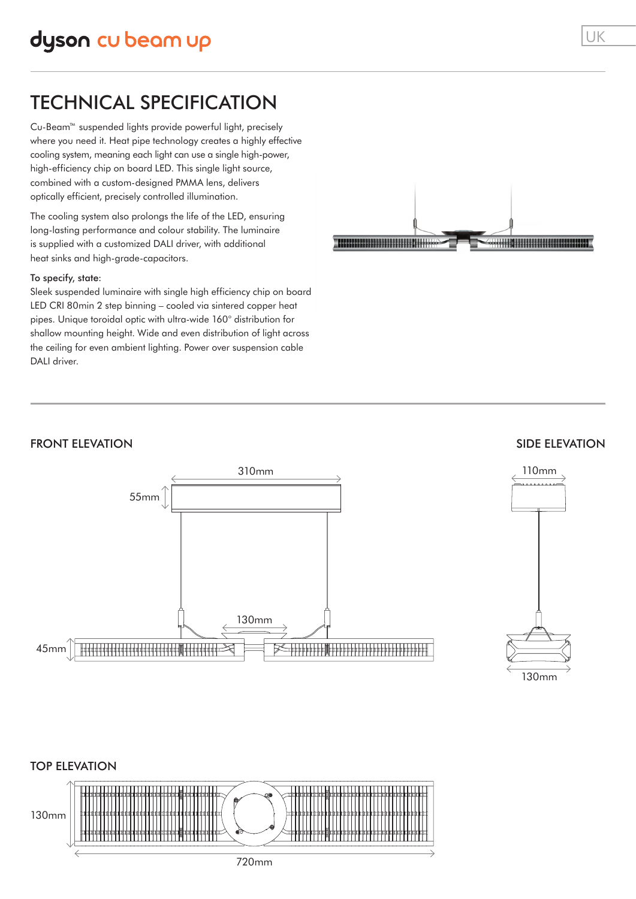### TECHNICAL SPECIFICATION

Cu-Beam™ suspended lights provide powerful light, precisely where you need it. Heat pipe technology creates a highly effective cooling system, meaning each light can use a single high-power, high-efficiency chip on board LED. This single light source, combined with a custom-designed PMMA lens, delivers optically efficient, precisely controlled illumination.

The cooling system also prolongs the life of the LED, ensuring long-lasting performance and colour stability. The luminaire is supplied with a customized DALI driver, with additional heat sinks and high-grade-capacitors.

#### To specify, state:

Sleek suspended luminaire with single high efficiency chip on board LED CRI 80min 2 step binning – cooled via sintered copper heat pipes. Unique toroidal optic with ultra-wide 160° distribution for shallow mounting height. Wide and even distribution of light across the ceiling for even ambient lighting. Power over suspension cable DALI driver.



#### FRONT ELEVATION



#### SIDE ELEVATION



# TOP ELEVATION 130mm

720mm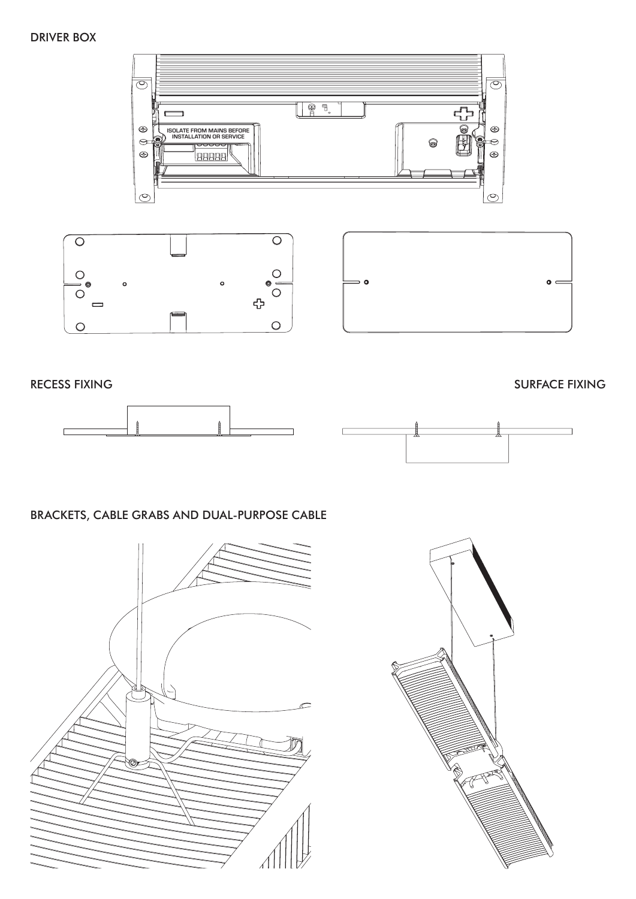#### DRIVER BOX







RECESS FIXING SURFACE FIXING





#### BRACKETS, CABLE GRABS AND DUAL-PURPOSE CABLE